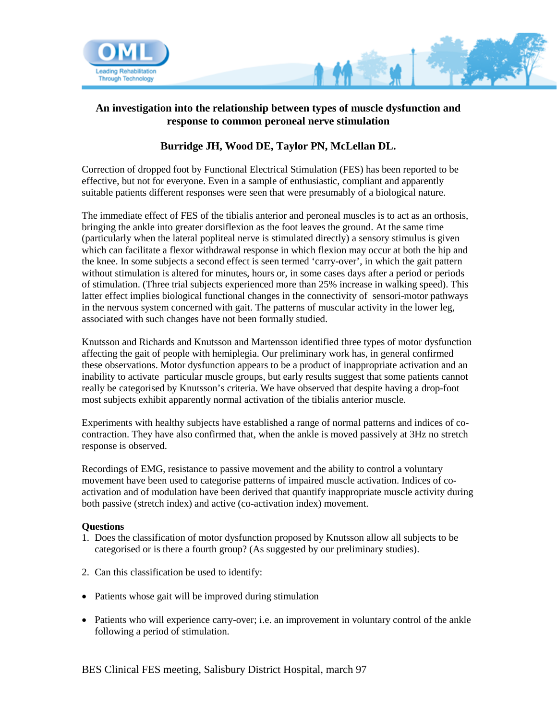

## **An investigation into the relationship between types of muscle dysfunction and response to common peroneal nerve stimulation**

## **Burridge JH, Wood DE, Taylor PN, McLellan DL.**

Correction of dropped foot by Functional Electrical Stimulation (FES) has been reported to be effective, but not for everyone. Even in a sample of enthusiastic, compliant and apparently suitable patients different responses were seen that were presumably of a biological nature.

The immediate effect of FES of the tibialis anterior and peroneal muscles is to act as an orthosis, bringing the ankle into greater dorsiflexion as the foot leaves the ground. At the same time (particularly when the lateral popliteal nerve is stimulated directly) a sensory stimulus is given which can facilitate a flexor withdrawal response in which flexion may occur at both the hip and the knee. In some subjects a second effect is seen termed 'carry-over', in which the gait pattern without stimulation is altered for minutes, hours or, in some cases days after a period or periods of stimulation. (Three trial subjects experienced more than 25% increase in walking speed). This latter effect implies biological functional changes in the connectivity of sensori-motor pathways in the nervous system concerned with gait. The patterns of muscular activity in the lower leg, associated with such changes have not been formally studied.

Knutsson and Richards and Knutsson and Martensson identified three types of motor dysfunction affecting the gait of people with hemiplegia. Our preliminary work has, in general confirmed these observations. Motor dysfunction appears to be a product of inappropriate activation and an inability to activate particular muscle groups, but early results suggest that some patients cannot really be categorised by Knutsson's criteria. We have observed that despite having a drop-foot most subjects exhibit apparently normal activation of the tibialis anterior muscle.

Experiments with healthy subjects have established a range of normal patterns and indices of cocontraction. They have also confirmed that, when the ankle is moved passively at 3Hz no stretch response is observed.

Recordings of EMG, resistance to passive movement and the ability to control a voluntary movement have been used to categorise patterns of impaired muscle activation. Indices of coactivation and of modulation have been derived that quantify inappropriate muscle activity during both passive (stretch index) and active (co-activation index) movement.

## **Questions**

- 1. Does the classification of motor dysfunction proposed by Knutsson allow all subjects to be categorised or is there a fourth group? (As suggested by our preliminary studies).
- 2. Can this classification be used to identify:
- Patients whose gait will be improved during stimulation
- Patients who will experience carry-over; i.e. an improvement in voluntary control of the ankle following a period of stimulation.

BES Clinical FES meeting, Salisbury District Hospital, march 97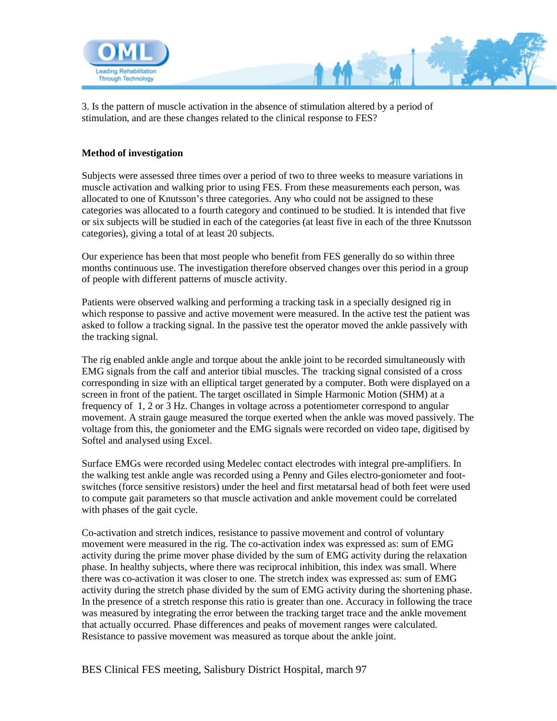

3. Is the pattern of muscle activation in the absence of stimulation altered by a period of stimulation, and are these changes related to the clinical response to FES?

## **Method of investigation**

Subjects were assessed three times over a period of two to three weeks to measure variations in muscle activation and walking prior to using FES. From these measurements each person, was allocated to one of Knutsson's three categories. Any who could not be assigned to these categories was allocated to a fourth category and continued to be studied. It is intended that five or six subjects will be studied in each of the categories (at least five in each of the three Knutsson categories), giving a total of at least 20 subjects.

Our experience has been that most people who benefit from FES generally do so within three months continuous use. The investigation therefore observed changes over this period in a group of people with different patterns of muscle activity.

Patients were observed walking and performing a tracking task in a specially designed rig in which response to passive and active movement were measured. In the active test the patient was asked to follow a tracking signal. In the passive test the operator moved the ankle passively with the tracking signal.

The rig enabled ankle angle and torque about the ankle joint to be recorded simultaneously with EMG signals from the calf and anterior tibial muscles. The tracking signal consisted of a cross corresponding in size with an elliptical target generated by a computer. Both were displayed on a screen in front of the patient. The target oscillated in Simple Harmonic Motion (SHM) at a frequency of 1, 2 or 3 Hz. Changes in voltage across a potentiometer correspond to angular movement. A strain gauge measured the torque exerted when the ankle was moved passively. The voltage from this, the goniometer and the EMG signals were recorded on video tape, digitised by Softel and analysed using Excel.

Surface EMGs were recorded using Medelec contact electrodes with integral pre-amplifiers. In the walking test ankle angle was recorded using a Penny and Giles electro-goniometer and footswitches (force sensitive resistors) under the heel and first metatarsal head of both feet were used to compute gait parameters so that muscle activation and ankle movement could be correlated with phases of the gait cycle.

Co-activation and stretch indices, resistance to passive movement and control of voluntary movement were measured in the rig. The co-activation index was expressed as: sum of EMG activity during the prime mover phase divided by the sum of EMG activity during the relaxation phase. In healthy subjects, where there was reciprocal inhibition, this index was small. Where there was co-activation it was closer to one. The stretch index was expressed as: sum of EMG activity during the stretch phase divided by the sum of EMG activity during the shortening phase. In the presence of a stretch response this ratio is greater than one. Accuracy in following the trace was measured by integrating the error between the tracking target trace and the ankle movement that actually occurred. Phase differences and peaks of movement ranges were calculated. Resistance to passive movement was measured as torque about the ankle joint.